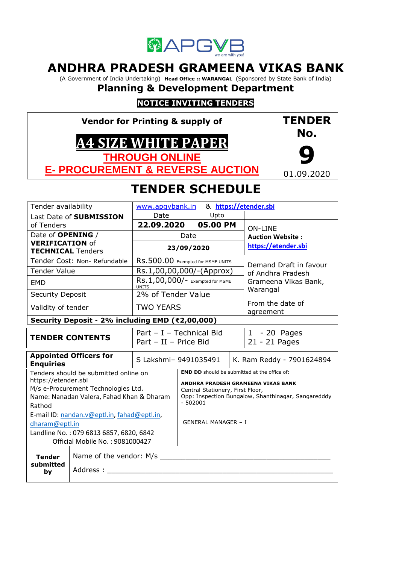

# **ANDHRA PRADESH GRAMEENA VIKAS BANK**

(A Government of India Undertaking) **Head Office :: WARANGAL** (Sponsored by State Bank of India)

# **Planning & Development Department**

# **NOTICE INVITING TENDERS**

**Vendor for Printing & supply of A4 SIZE WHITE PAPER THROUGH ONLINE E- PROCUREMENT & REVERSE AUCTION**



# **TENDER SCHEDULE**

| Tender availability                                              |                                                                                                                                                                                                                                                                                             | www.apgybank.in                                 |      |                                                                             | & https://etender.sbi                                                                                                                            |
|------------------------------------------------------------------|---------------------------------------------------------------------------------------------------------------------------------------------------------------------------------------------------------------------------------------------------------------------------------------------|-------------------------------------------------|------|-----------------------------------------------------------------------------|--------------------------------------------------------------------------------------------------------------------------------------------------|
|                                                                  | Last Date of SUBMISSION                                                                                                                                                                                                                                                                     | Date                                            |      | Upto                                                                        |                                                                                                                                                  |
| of Tenders                                                       |                                                                                                                                                                                                                                                                                             | 22.09.2020                                      |      | 05.00 PM                                                                    | <b>ON-LINE</b>                                                                                                                                   |
| Date of <b>OPENING</b> /                                         |                                                                                                                                                                                                                                                                                             |                                                 | Date |                                                                             | <b>Auction Website:</b>                                                                                                                          |
| <b>VERIFICATION of</b><br><b>TECHNICAL Tenders</b>               |                                                                                                                                                                                                                                                                                             |                                                 |      | 23/09/2020                                                                  | https://etender.sbi                                                                                                                              |
|                                                                  | Tender Cost: Non- Refundable                                                                                                                                                                                                                                                                | RS.500.00 Exempted for MSME UNITS               |      |                                                                             | Demand Draft in favour                                                                                                                           |
| <b>Tender Value</b>                                              |                                                                                                                                                                                                                                                                                             | Rs.1,00,00,000/-(Approx)                        |      |                                                                             | of Andhra Pradesh                                                                                                                                |
| <b>EMD</b>                                                       |                                                                                                                                                                                                                                                                                             | RS.1,00,000/- Exempted for MSME<br><b>UNITS</b> |      |                                                                             | Grameena Vikas Bank,<br>Warangal                                                                                                                 |
| <b>Security Deposit</b>                                          |                                                                                                                                                                                                                                                                                             | 2% of Tender Value                              |      |                                                                             |                                                                                                                                                  |
| Validity of tender                                               |                                                                                                                                                                                                                                                                                             | <b>TWO YEARS</b>                                |      |                                                                             | From the date of<br>agreement                                                                                                                    |
|                                                                  | Security Deposit - 2% including EMD (₹2,00,000)                                                                                                                                                                                                                                             |                                                 |      |                                                                             |                                                                                                                                                  |
|                                                                  |                                                                                                                                                                                                                                                                                             | Part - I - Technical Bid                        |      |                                                                             | $1 - 20$ Pages                                                                                                                                   |
|                                                                  | <b>TENDER CONTENTS</b>                                                                                                                                                                                                                                                                      | Part - II - Price Bid                           |      |                                                                             | 21 - 21 Pages                                                                                                                                    |
| <b>Enquiries</b>                                                 | <b>Appointed Officers for</b>                                                                                                                                                                                                                                                               | S Lakshmi- 9491035491                           |      |                                                                             | K. Ram Reddy - 7901624894                                                                                                                        |
| https://etender.sbi<br>Rathod<br>dharam@eptl.in<br><b>Tender</b> | Tenders should be submitted online on<br>M/s e-Procurement Technologies Ltd.<br>Name: Nanadan Valera, Fahad Khan & Dharam<br>E-mail ID: nandan.v@eptl.in, fahad@eptl.in,<br>Landline No.: 079 6813 6857, 6820, 6842<br>Official Mobile No.: 9081000427<br>Name of the vendor: M/s _________ |                                                 |      | Central Stationery, First Floor,<br>$-502001$<br><b>GENERAL MANAGER - I</b> | <b>EMD DD</b> should be submitted at the office of:<br>ANDHRA PRADESH GRAMEENA VIKAS BANK<br>Opp: Inspection Bungalow, Shanthinagar, Sangaredddy |
| submitted<br>by                                                  | Address:                                                                                                                                                                                                                                                                                    |                                                 |      |                                                                             |                                                                                                                                                  |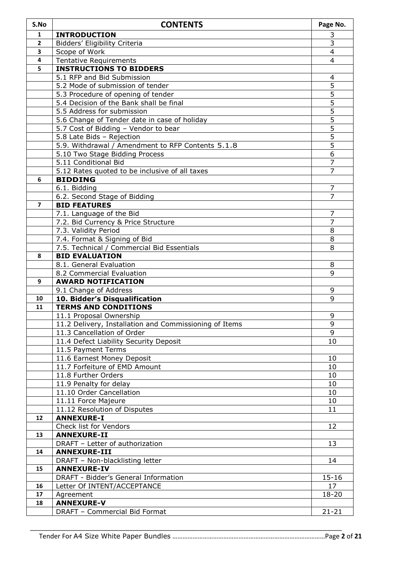| S.No           | <b>CONTENTS</b>                                                                      | Page No.                         |
|----------------|--------------------------------------------------------------------------------------|----------------------------------|
| $\mathbf{1}$   | <b>INTRODUCTION</b>                                                                  | 3                                |
| 2              | Bidders' Eligibility Criteria                                                        | 3                                |
| 3              | Scope of Work                                                                        | $\overline{4}$                   |
| 4              | <b>Tentative Requirements</b>                                                        | 4                                |
| 5              | <b>INSTRUCTIONS TO BIDDERS</b>                                                       |                                  |
|                | 5.1 RFP and Bid Submission                                                           | 4                                |
|                | 5.2 Mode of submission of tender                                                     | 5                                |
|                | 5.3 Procedure of opening of tender                                                   | 5                                |
|                | 5.4 Decision of the Bank shall be final                                              | $\overline{5}$                   |
|                | 5.5 Address for submission                                                           | $\overline{5}$<br>$\overline{5}$ |
|                | 5.6 Change of Tender date in case of holiday<br>5.7 Cost of Bidding - Vendor to bear | $\overline{5}$                   |
|                | 5.8 Late Bids - Rejection                                                            | $\overline{5}$                   |
|                | 5.9. Withdrawal / Amendment to RFP Contents 5.1.8                                    | $\overline{5}$                   |
|                | 5.10 Two Stage Bidding Process                                                       | 6                                |
|                | 5.11 Conditional Bid                                                                 | $\overline{7}$                   |
|                | 5.12 Rates quoted to be inclusive of all taxes                                       | $\overline{7}$                   |
| 6              | <b>BIDDING</b>                                                                       |                                  |
|                | 6.1. Bidding                                                                         | 7                                |
|                | 6.2. Second Stage of Bidding                                                         | 7                                |
| $\overline{7}$ | <b>BID FEATURES</b>                                                                  |                                  |
|                | 7.1. Language of the Bid                                                             | 7                                |
|                | 7.2. Bid Currency & Price Structure                                                  | $\overline{7}$                   |
|                | 7.3. Validity Period                                                                 | 8                                |
|                | 7.4. Format & Signing of Bid                                                         | 8                                |
|                | 7.5. Technical / Commercial Bid Essentials                                           | 8                                |
| 8              | <b>BID EVALUATION</b>                                                                |                                  |
|                | 8.1. General Evaluation                                                              | 8                                |
|                | 8.2 Commercial Evaluation                                                            | 9                                |
| 9              | <b>AWARD NOTIFICATION</b>                                                            | 9                                |
| 10             | 9.1 Change of Address<br>10. Bidder's Disqualification                               | 9                                |
| 11             | <b>TERMS AND CONDITIONS</b>                                                          |                                  |
|                | 11.1 Proposal Ownership                                                              | 9                                |
|                | 11.2 Delivery, Installation and Commissioning of Items                               | 9                                |
|                | 11.3 Cancellation of Order                                                           | 9                                |
|                | 11.4 Defect Liability Security Deposit                                               | 10                               |
|                | 11.5 Payment Terms                                                                   |                                  |
|                | 11.6 Earnest Money Deposit                                                           | 10                               |
|                | 11.7 Forfeiture of EMD Amount                                                        | 10                               |
|                | 11.8 Further Orders                                                                  | 10                               |
|                | 11.9 Penalty for delay                                                               | 10                               |
|                | 11.10 Order Cancellation                                                             | 10                               |
|                | 11.11 Force Majeure                                                                  | 10                               |
|                | 11.12 Resolution of Disputes                                                         | 11                               |
| 12             | <b>ANNEXURE-I</b>                                                                    |                                  |
|                | Check list for Vendors                                                               | 12                               |
| 13             | <b>ANNEXURE-II</b>                                                                   |                                  |
|                | DRAFT - Letter of authorization                                                      | 13                               |
| 14             | <b>ANNEXURE-III</b>                                                                  |                                  |
| 15             | DRAFT - Non-blacklisting letter<br><b>ANNEXURE-IV</b>                                | 14                               |
|                | DRAFT - Bidder's General Information                                                 | $15 - 16$                        |
| 16             | Letter Of INTENT/ACCEPTANCE                                                          | 17                               |
| 17             | Agreement                                                                            | 18-20                            |
| 18             | <b>ANNEXURE-V</b>                                                                    |                                  |
|                | DRAFT - Commercial Bid Format                                                        | $21 - 21$                        |
|                |                                                                                      |                                  |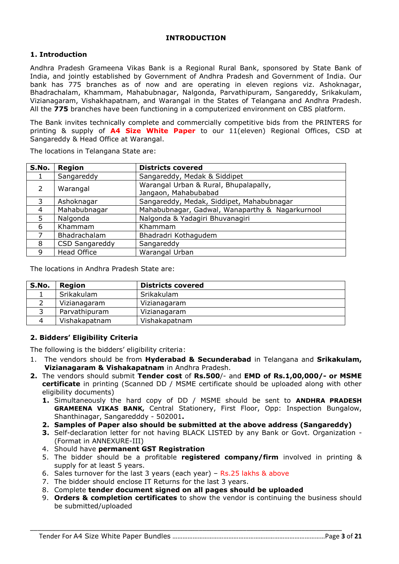#### **INTRODUCTION**

## **1. Introduction**

Andhra Pradesh Grameena Vikas Bank is a Regional Rural Bank, sponsored by State Bank of India, and jointly established by Government of Andhra Pradesh and Government of India. Our bank has 775 branches as of now and are operating in eleven regions viz. Ashoknagar, Bhadrachalam, Khammam, Mahabubnagar, Nalgonda, Parvathipuram, Sangareddy, Srikakulam, Vizianagaram, Vishakhapatnam, and Warangal in the States of Telangana and Andhra Pradesh. All the **775** branches have been functioning in a computerized environment on CBS platform.

The Bank invites technically complete and commercially competitive bids from the PRINTERS for printing & supply of **A4 Size White Paper** to our 11(eleven) Regional Offices, CSD at Sangareddy & Head Office at Warangal.

| S.No.          | Region             | <b>Districts covered</b>                                      |
|----------------|--------------------|---------------------------------------------------------------|
|                | Sangareddy         | Sangareddy, Medak & Siddipet                                  |
| $\mathcal{P}$  | Warangal           | Warangal Urban & Rural, Bhupalapally,<br>Jangaon, Mahabubabad |
| 3              | Ashoknagar         | Sangareddy, Medak, Siddipet, Mahabubnagar                     |
| $\overline{4}$ | Mahabubnagar       | Mahabubnagar, Gadwal, Wanaparthy & Nagarkurnool               |
| 5              | Nalgonda           | Nalgonda & Yadagiri Bhuvanagiri                               |
| 6              | Khammam            | Khammam                                                       |
|                | Bhadrachalam       | Bhadradri Kothagudem                                          |
| 8              | CSD Sangareddy     | Sangareddy                                                    |
| 9              | <b>Head Office</b> | Warangal Urban                                                |

The locations in Telangana State are:

The locations in Andhra Pradesh State are:

| S.No. | Region        | <b>Districts covered</b> |
|-------|---------------|--------------------------|
|       | Srikakulam    | Srikakulam               |
|       | Vizianagaram  | Vizianagaram             |
|       | Parvathipuram | Vizianagaram             |
|       | Vishakapatnam | Vishakapatnam            |

#### **2. Bidders' Eligibility Criteria**

The following is the bidders' eligibility criteria:

- 1. The vendors should be from **Hyderabad & Secunderabad** in Telangana and **Srikakulam, Vizianagaram & Vishakapatnam** in Andhra Pradesh.
- **2.** The vendors should submit **Tender cost** of **Rs.500**/- and **EMD of Rs.1,00,000/- or MSME certificate** in printing (Scanned DD / MSME certificate should be uploaded along with other eligibility documents)
	- **1.** Simultaneously the hard copy of DD / MSME should be sent to **ANDHRA PRADESH GRAMEENA VIKAS BANK,** Central Stationery, First Floor, Opp: Inspection Bungalow, Shanthinagar, Sangaredddy - 502001**.**
	- **2. Samples of Paper also should be submitted at the above address (Sangareddy)**
	- **3.** Self-declaration letter for not having BLACK LISTED by any Bank or Govt. Organization (Format in ANNEXURE-III)
	- 4. Should have **permanent GST Registration**
	- 5. The bidder should be a profitable **registered company/firm** involved in printing & supply for at least 5 years.
	- 6. Sales turnover for the last 3 years (each year) Rs.25 lakhs & above
	- 7. The bidder should enclose IT Returns for the last 3 years.
	- 8. Complete **tender document signed on all pages should be uploaded**

\_\_\_\_\_\_\_\_\_\_\_\_\_\_\_\_\_\_\_\_\_\_\_\_\_\_\_\_\_\_\_\_\_\_\_\_\_\_\_\_\_\_\_\_\_\_\_\_\_\_\_\_\_\_\_\_\_\_\_\_\_\_\_\_\_\_\_\_\_\_\_\_\_\_\_\_\_\_\_\_\_\_\_\_\_

9. **Orders & completion certificates** to show the vendor is continuing the business should be submitted/uploaded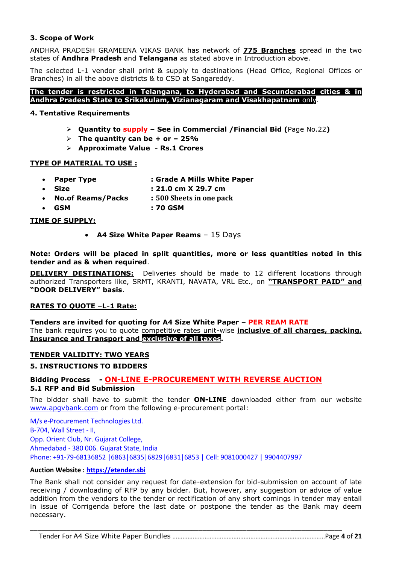#### **3. Scope of Work**

ANDHRA PRADESH GRAMEENA VIKAS BANK has network of **775 Branches** spread in the two states of **Andhra Pradesh** and **Telangana** as stated above in Introduction above.

The selected L-1 vendor shall print & supply to destinations (Head Office, Regional Offices or Branches) in all the above districts & to CSD at Sangareddy.

**The tender is restricted in Telangana, to Hyderabad and Secunderabad cities & in Andhra Pradesh State to Srikakulam, Vizianagaram and Visakhapatnam** only.

#### **4. Tentative Requirements**

- **Quantity to supply – See in Commercial /Financial Bid (**Page No.22**)**
- $\triangleright$  The quantity can be  $+$  or  $-$  25%
- **Approximate Value - Rs.1 Crores**

#### **TYPE OF MATERIAL TO USE :**

- **Paper Type : Grade A Mills White Paper**
	- **Size : 21.0 cm X 29.7 cm**
- **No.of Reams/Packs : 500 Sheets in one pack**
- **GSM : 70 GSM**

#### **TIME OF SUPPLY:**

**A4 Size White Paper Reams** – 15 Days

**Note: Orders will be placed in split quantities, more or less quantities noted in this tender and as & when required**.

**DELIVERY DESTINATIONS:** Deliveries should be made to 12 different locations through authorized Transporters like, SRMT, KRANTI, NAVATA, VRL Etc., on **"TRANSPORT PAID" and "DOOR DELIVERY" basis**.

#### **RATES TO QUOTE –L-1 Rate:**

**Tenders are invited for quoting for A4 Size White Paper – PER REAM RATE** The bank requires you to quote competitive rates unit-wise **inclusive of all charges, packing, Insurance and Transport and exclusive of all taxes.**

#### **TENDER VALIDITY: TWO YEARS**

## **5. INSTRUCTIONS TO BIDDERS**

## **Bidding Process - ON-LINE E-PROCUREMENT WITH REVERSE AUCTION 5.1 RFP and Bid Submission**

The bidder shall have to submit the tender **ON-LINE** downloaded either from our website [www.apgvbank.com](http://www.apgvbank.com/) or from the following e-procurement portal:

M/s e-Procurement Technologies Ltd. B-704, Wall Street - II, Opp. Orient Club, Nr. Gujarat College, Ahmedabad - 380 006. Gujarat State, India Phone: +91-79-68136852 |6863|6835|6829|6831|6853 | Cell: 9081000427 | 9904407997

#### **Auction Website : [https://etender.sbi](https://etender.sbi/)**

The Bank shall not consider any request for date-extension for bid-submission on account of late receiving / downloading of RFP by any bidder. But, however, any suggestion or advice of value addition from the vendors to the tender or rectification of any short comings in tender may entail in issue of Corrigenda before the last date or postpone the tender as the Bank may deem necessary.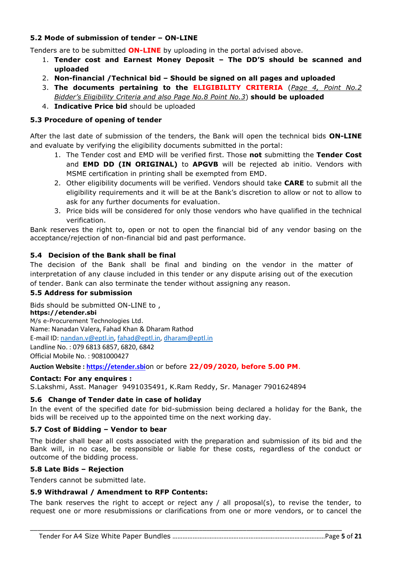## **5.2 Mode of submission of tender – ON-LINE**

Tenders are to be submitted **ON-LINE** by uploading in the portal advised above.

- 1. **Tender cost and Earnest Money Deposit – The DD'S should be scanned and uploaded**
- 2. **Non-financial /Technical bid – Should be signed on all pages and uploaded**
- 3. **The documents pertaining to the ELIGIBILITY CRITERIA** (*Page 4, Point No.2 Bidder's Eligibility Criteria and also Page No.8 Point No.3*) **should be uploaded**
- 4. **Indicative Price bid** should be uploaded

## **5.3 Procedure of opening of tender**

After the last date of submission of the tenders, the Bank will open the technical bids **ON-LINE** and evaluate by verifying the eligibility documents submitted in the portal:

- 1. The Tender cost and EMD will be verified first. Those **not** submitting the **Tender Cost** and **EMD DD (IN ORIGINAL)** to **APGVB** will be rejected ab initio. Vendors with MSME certification in printing shall be exempted from EMD.
- 2. Other eligibility documents will be verified. Vendors should take **CARE** to submit all the eligibility requirements and it will be at the Bank's discretion to allow or not to allow to ask for any further documents for evaluation.
- 3. Price bids will be considered for only those vendors who have qualified in the technical verification.

Bank reserves the right to, open or not to open the financial bid of any vendor basing on the acceptance/rejection of non-financial bid and past performance.

## **5.4 Decision of the Bank shall be final**

The decision of the Bank shall be final and binding on the vendor in the matter of interpretation of any clause included in this tender or any dispute arising out of the execution of tender. Bank can also terminate the tender without assigning any reason.

#### **5.5 Address for submission**

Bids should be submitted ON-LINE to , **https://etender.sbi** M/s e-Procurement Technologies Ltd. Name: Nanadan Valera, Fahad Khan & Dharam Rathod E-mail ID: [nandan.v@eptl.in,](mailto:nandan.v@eptl.in) [fahad@eptl.in,](mailto:fahad@eptl.in) [dharam@eptl.in](mailto:dharam@eptl.in) Landline No. : 079 6813 6857, 6820, 6842 Official Mobile No. : 9081000427

**Auction Website : [https://etender.sbi](https://etender.sbi/)**on or before **22/09/2020, before 5.00 PM**.

#### **Contact: For any enquires :**

S.Lakshmi, Asst. Manager 9491035491, K.Ram Reddy, Sr. Manager 7901624894

#### **5.6 Change of Tender date in case of holiday**

In the event of the specified date for bid-submission being declared a holiday for the Bank, the bids will be received up to the appointed time on the next working day.

#### **5.7 Cost of Bidding – Vendor to bear**

The bidder shall bear all costs associated with the preparation and submission of its bid and the Bank will, in no case, be responsible or liable for these costs, regardless of the conduct or outcome of the bidding process.

#### **5.8 Late Bids – Rejection**

Tenders cannot be submitted late.

#### **5.9 Withdrawal / Amendment to RFP Contents:**

The bank reserves the right to accept or reject any / all proposal(s), to revise the tender, to request one or more resubmissions or clarifications from one or more vendors, or to cancel the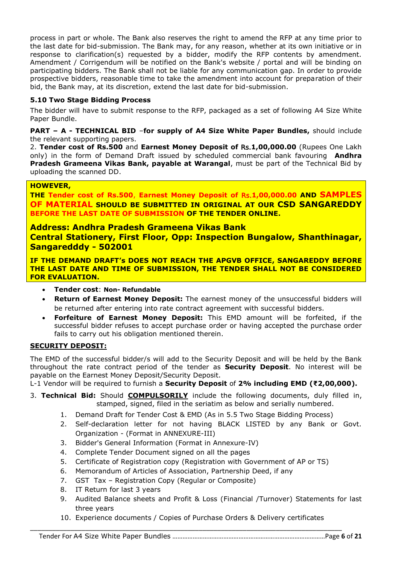process in part or whole. The Bank also reserves the right to amend the RFP at any time prior to the last date for bid-submission. The Bank may, for any reason, whether at its own initiative or in response to clarification(s) requested by a bidder, modify the RFP contents by amendment. Amendment / Corrigendum will be notified on the Bank's website / portal and will be binding on participating bidders. The Bank shall not be liable for any communication gap. In order to provide prospective bidders, reasonable time to take the amendment into account for preparation of their bid, the Bank may, at its discretion, extend the last date for bid-submission.

## **5.10 Two Stage Bidding Process**

The bidder will have to submit response to the RFP, packaged as a set of following A4 Size White Paper Bundle.

#### **PART – A - TECHNICAL BID** –**for supply of A4 Size White Paper Bundles,** should include the relevant supporting papers.

2. **Tender cost of Rs.500** and **Earnest Money Deposit of** Rs.**1,00,000.00** (Rupees One Lakh only) in the form of Demand Draft issued by scheduled commercial bank favouring **Andhra Pradesh Grameena Vikas Bank, payable at Warangal**, must be part of the Technical Bid by uploading the scanned DD.

#### **HOWEVER,**

**THE Tender cost of Rs.500**, **Earnest Money Deposit of** Rs.**1,00,000.00 AND SAMPLES OF MATERIAL SHOULD BE SUBMITTED IN ORIGINAL AT OUR CSD SANGAREDDY BEFORE THE LAST DATE OF SUBMISSION OF THE TENDER ONLINE.**

#### **Address: Andhra Pradesh Grameena Vikas Bank**

**Central Stationery, First Floor, Opp: Inspection Bungalow, Shanthinagar, Sangaredddy - 502001**

**IF THE DEMAND DRAFT's DOES NOT REACH THE APGVB OFFICE, SANGAREDDY BEFORE THE LAST DATE AND TIME OF SUBMISSION, THE TENDER SHALL NOT BE CONSIDERED FOR EVALUATION.**

- **Tender cost**: **Non- Refundable**
- **Return of Earnest Money Deposit:** The earnest money of the unsuccessful bidders will be returned after entering into rate contract agreement with successful bidders.
- **Forfeiture of Earnest Money Deposit:** This EMD amount will be forfeited, if the successful bidder refuses to accept purchase order or having accepted the purchase order fails to carry out his obligation mentioned therein.

#### **SECURITY DEPOSIT:**

The EMD of the successful bidder/s will add to the Security Deposit and will be held by the Bank throughout the rate contract period of the tender as **Security Deposit**. No interest will be payable on the Earnest Money Deposit/Security Deposit.

L-1 Vendor will be required to furnish a **Security Deposit** of **2% including EMD (₹2,00,000).**

- 3. **Technical Bid:** Should **COMPULSORILY** include the following documents, duly filled in, stamped, signed, filed in the seriatim as below and serially numbered.
	- 1. Demand Draft for Tender Cost & EMD (As in 5.5 Two Stage Bidding Process)
	- 2. Self-declaration letter for not having BLACK LISTED by any Bank or Govt. Organization - (Format in ANNEXURE-III)
	- 3. Bidder's General Information (Format in Annexure-IV)
	- 4. Complete Tender Document signed on all the pages
	- 5. Certificate of Registration copy (Registration with Government of AP or TS)
	- 6. Memorandum of Articles of Association, Partnership Deed, if any
	- 7. GST Tax Registration Copy (Regular or Composite)
	- 8. IT Return for last 3 years
	- 9. Audited Balance sheets and Profit & Loss (Financial /Turnover) Statements for last three years
	- 10. Experience documents / Copies of Purchase Orders & Delivery certificates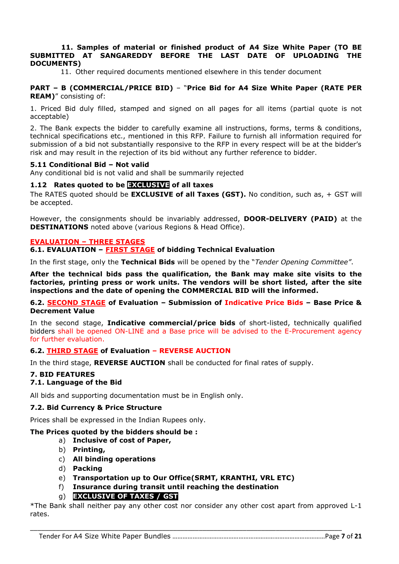#### **11. Samples of material or finished product of A4 Size White Paper (TO BE SUBMITTED AT SANGAREDDY BEFORE THE LAST DATE OF UPLOADING THE DOCUMENTS)**

11. Other required documents mentioned elsewhere in this tender document

#### **PART – B (COMMERCIAL/PRICE BID)** – "**Price Bid for A4 Size White Paper (RATE PER REAM)**" consisting of:

1. Priced Bid duly filled, stamped and signed on all pages for all items (partial quote is not acceptable)

2. The Bank expects the bidder to carefully examine all instructions, forms, terms & conditions, technical specifications etc., mentioned in this RFP. Failure to furnish all information required for submission of a bid not substantially responsive to the RFP in every respect will be at the bidder's risk and may result in the rejection of its bid without any further reference to bidder.

#### **5.11 Conditional Bid – Not valid**

Any conditional bid is not valid and shall be summarily rejected

#### **1.12 Rates quoted to be EXCLUSIVE of all taxes**

The RATES quoted should be **EXCLUSIVE of all Taxes (GST).** No condition, such as, + GST will be accepted.

However, the consignments should be invariably addressed, **DOOR-DELIVERY (PAID)** at the **DESTINATIONS** noted above (various Regions & Head Office).

#### **EVALUATION – THREE STAGES**

**6.1. EVALUATION – FIRST STAGE of bidding Technical Evaluation**

In the first stage, only the **Technical Bids** will be opened by the "*Tender Opening Committee"*.

**After the technical bids pass the qualification, the Bank may make site visits to the factories, printing press or work units. The vendors will be short listed, after the site inspections and the date of opening the COMMERCIAL BID will the informed.**

#### **6.2. SECOND STAGE of Evaluation – Submission of Indicative Price Bids – Base Price & Decrement Value**

In the second stage, **Indicative commercial/price bids** of short-listed, technically qualified bidders shall be opened ON-LINE and a Base price will be advised to the E-Procurement agency for further evaluation.

#### **6.2. THIRD STAGE of Evaluation – REVERSE AUCTION**

In the third stage, **REVERSE AUCTION** shall be conducted for final rates of supply.

#### **7. BID FEATURES**

#### **7.1. Language of the Bid**

All bids and supporting documentation must be in English only.

#### **7.2. Bid Currency & Price Structure**

Prices shall be expressed in the Indian Rupees only.

#### **The Prices quoted by the bidders should be :**

- a) **Inclusive of cost of Paper,**
- b) **Printing,**
- c) **All binding operations**
- d) **Packing**
- e) **Transportation up to Our Office(SRMT, KRANTHI, VRL ETC)**
- f) **Insurance during transit until reaching the destination**

#### g) **EXCLUSIVE OF TAXES / GST**

\*The Bank shall neither pay any other cost nor consider any other cost apart from approved L-1 rates.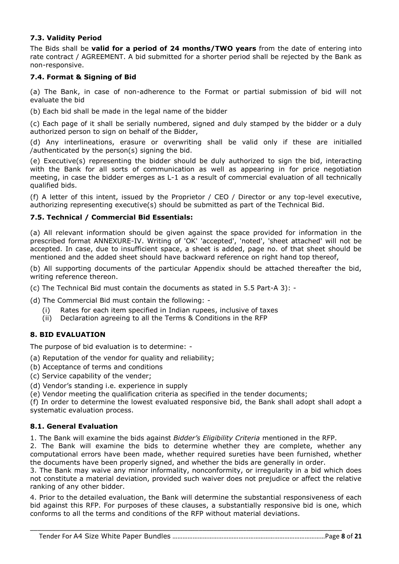## **7.3. Validity Period**

The Bids shall be **valid for a period of 24 months/TWO years** from the date of entering into rate contract / AGREEMENT. A bid submitted for a shorter period shall be rejected by the Bank as non-responsive.

## **7.4. Format & Signing of Bid**

(a) The Bank, in case of non-adherence to the Format or partial submission of bid will not evaluate the bid

(b) Each bid shall be made in the legal name of the bidder

(c) Each page of it shall be serially numbered, signed and duly stamped by the bidder or a duly authorized person to sign on behalf of the Bidder,

(d) Any interlineations, erasure or overwriting shall be valid only if these are initialled /authenticated by the person(s) signing the bid.

(e) Executive(s) representing the bidder should be duly authorized to sign the bid, interacting with the Bank for all sorts of communication as well as appearing in for price negotiation meeting, in case the bidder emerges as L-1 as a result of commercial evaluation of all technically qualified bids.

(f) A letter of this intent, issued by the Proprietor / CEO / Director or any top-level executive, authorizing representing executive(s) should be submitted as part of the Technical Bid.

#### **7.5. Technical / Commercial Bid Essentials:**

(a) All relevant information should be given against the space provided for information in the prescribed format ANNEXURE-IV. Writing of 'OK' 'accepted', 'noted', 'sheet attached' will not be accepted. In case, due to insufficient space, a sheet is added, page no. of that sheet should be mentioned and the added sheet should have backward reference on right hand top thereof,

(b) All supporting documents of the particular Appendix should be attached thereafter the bid, writing reference thereon.

(c) The Technical Bid must contain the documents as stated in 5.5 Part-A 3): -

(d) The Commercial Bid must contain the following: -

- (i) Rates for each item specified in Indian rupees, inclusive of taxes
- (ii) Declaration agreeing to all the Terms & Conditions in the RFP

#### **8. BID EVALUATION**

The purpose of bid evaluation is to determine: -

(a) Reputation of the vendor for quality and reliability;

- (b) Acceptance of terms and conditions
- (c) Service capability of the vender;
- (d) Vendor's standing i.e. experience in supply

(e) Vendor meeting the qualification criteria as specified in the tender documents;

(f) In order to determine the lowest evaluated responsive bid, the Bank shall adopt shall adopt a systematic evaluation process.

#### **8.1. General Evaluation**

1. The Bank will examine the bids against *Bidder's Eligibility Criteria* mentioned in the RFP.

2. The Bank will examine the bids to determine whether they are complete, whether any computational errors have been made, whether required sureties have been furnished, whether the documents have been properly signed, and whether the bids are generally in order.

3. The Bank may waive any minor informality, nonconformity, or irregularity in a bid which does not constitute a material deviation, provided such waiver does not prejudice or affect the relative ranking of any other bidder.

4. Prior to the detailed evaluation, the Bank will determine the substantial responsiveness of each bid against this RFP. For purposes of these clauses, a substantially responsive bid is one, which conforms to all the terms and conditions of the RFP without material deviations.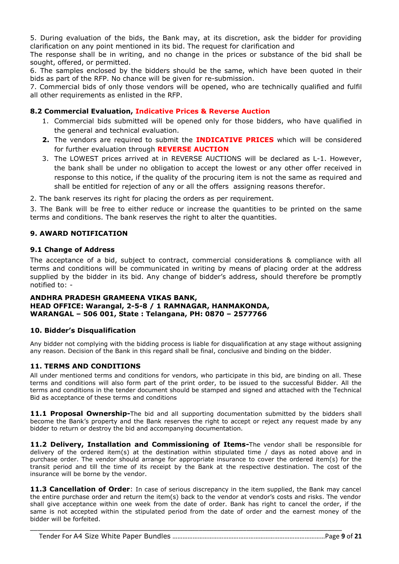5. During evaluation of the bids, the Bank may, at its discretion, ask the bidder for providing clarification on any point mentioned in its bid. The request for clarification and

The response shall be in writing, and no change in the prices or substance of the bid shall be sought, offered, or permitted.

6. The samples enclosed by the bidders should be the same, which have been quoted in their bids as part of the RFP. No chance will be given for re-submission.

7. Commercial bids of only those vendors will be opened, who are technically qualified and fulfil all other requirements as enlisted in the RFP.

#### **8.2 Commercial Evaluation, Indicative Prices & Reverse Auction**

- 1. Commercial bids submitted will be opened only for those bidders, who have qualified in the general and technical evaluation.
- **2.** The vendors are required to submit the **INDICATIVE PRICES** which will be considered for further evaluation through **REVERSE AUCTION**
- 3. The LOWEST prices arrived at in REVERSE AUCTIONS will be declared as L-1. However, the bank shall be under no obligation to accept the lowest or any other offer received in response to this notice, if the quality of the procuring item is not the same as required and shall be entitled for rejection of any or all the offers assigning reasons therefor.

2. The bank reserves its right for placing the orders as per requirement.

3. The Bank will be free to either reduce or increase the quantities to be printed on the same terms and conditions. The bank reserves the right to alter the quantities.

#### **9. AWARD NOTIFICATION**

#### **9.1 Change of Address**

The acceptance of a bid, subject to contract, commercial considerations & compliance with all terms and conditions will be communicated in writing by means of placing order at the address supplied by the bidder in its bid. Any change of bidder's address, should therefore be promptly notified to: -

#### **ANDHRA PRADESH GRAMEENA VIKAS BANK, HEAD OFFICE: Warangal, 2-5-8 / 1 RAMNAGAR, HANMAKONDA, WARANGAL – 506 001, State : Telangana, PH: 0870 – 2577766**

#### **10. Bidder's Disqualification**

Any bidder not complying with the bidding process is liable for disqualification at any stage without assigning any reason. Decision of the Bank in this regard shall be final, conclusive and binding on the bidder.

#### **11. TERMS AND CONDITIONS**

All under mentioned terms and conditions for vendors, who participate in this bid, are binding on all. These terms and conditions will also form part of the print order, to be issued to the successful Bidder. All the terms and conditions in the tender document should be stamped and signed and attached with the Technical Bid as acceptance of these terms and conditions

**11.1 Proposal Ownership-**The bid and all supporting documentation submitted by the bidders shall become the Bank's property and the Bank reserves the right to accept or reject any request made by any bidder to return or destroy the bid and accompanying documentation.

**11.2 Delivery, Installation and Commissioning of Items-**The vendor shall be responsible for delivery of the ordered item(s) at the destination within stipulated time / days as noted above and in purchase order. The vendor should arrange for appropriate insurance to cover the ordered item(s) for the transit period and till the time of its receipt by the Bank at the respective destination. The cost of the insurance will be borne by the vendor.

**11.3 Cancellation of Order**: In case of serious discrepancy in the item supplied, the Bank may cancel the entire purchase order and return the item(s) back to the vendor at vendor's costs and risks. The vendor shall give acceptance within one week from the date of order. Bank has right to cancel the order, if the same is not accepted within the stipulated period from the date of order and the earnest money of the bidder will be forfeited.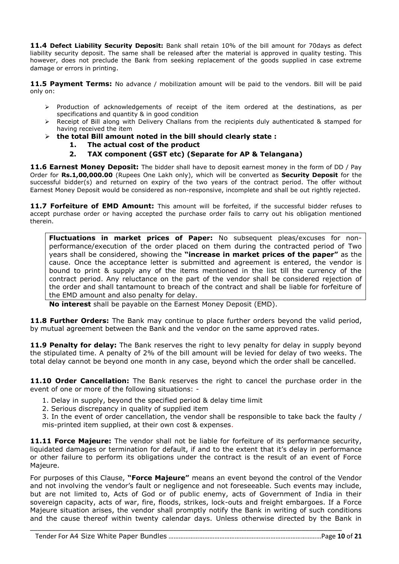**11.4 Defect Liability Security Deposit:** Bank shall retain 10% of the bill amount for 70days as defect liability security deposit. The same shall be released after the material is approved in quality testing. This however, does not preclude the Bank from seeking replacement of the goods supplied in case extreme damage or errors in printing.

11.5 Payment Terms: No advance / mobilization amount will be paid to the vendors. Bill will be paid only on:

- $\triangleright$  Production of acknowledgements of receipt of the item ordered at the destinations, as per specifications and quantity & in good condition
- $\triangleright$  Receipt of Bill along with Delivery Challans from the recipients duly authenticated & stamped for having received the item
- **the total Bill amount noted in the bill should clearly state :**
	- **1. The actual cost of the product**
	- **2. TAX component (GST etc) (Separate for AP & Telangana)**

**11.6 Earnest Money Deposit:** The bidder shall have to deposit earnest money in the form of DD / Pay Order for **Rs.1,00,000.00** (Rupees One Lakh only), which will be converted as **Security Deposit** for the successful bidder(s) and returned on expiry of the two years of the contract period. The offer without Earnest Money Deposit would be considered as non-responsive, incomplete and shall be out rightly rejected.

11.7 Forfeiture of EMD Amount: This amount will be forfeited, if the successful bidder refuses to accept purchase order or having accepted the purchase order fails to carry out his obligation mentioned therein.

**Fluctuations in market prices of Paper:** No subsequent pleas/excuses for nonperformance/execution of the order placed on them during the contracted period of Two years shall be considered, showing the **"increase in market prices of the paper"** as the cause. Once the acceptance letter is submitted and agreement is entered, the vendor is bound to print & supply any of the items mentioned in the list till the currency of the contract period. Any reluctance on the part of the vendor shall be considered rejection of the order and shall tantamount to breach of the contract and shall be liable for forfeiture of the EMD amount and also penalty for delay.

**No interest** shall be payable on the Earnest Money Deposit (EMD).

**11.8 Further Orders:** The Bank may continue to place further orders beyond the valid period, by mutual agreement between the Bank and the vendor on the same approved rates.

**11.9 Penalty for delay:** The Bank reserves the right to levy penalty for delay in supply beyond the stipulated time. A penalty of 2% of the bill amount will be levied for delay of two weeks. The total delay cannot be beyond one month in any case, beyond which the order shall be cancelled.

**11.10 Order Cancellation:** The Bank reserves the right to cancel the purchase order in the event of one or more of the following situations: -

- 1. Delay in supply, beyond the specified period & delay time limit
- 2. Serious discrepancy in quality of supplied item
- 3. In the event of order cancellation, the vendor shall be responsible to take back the faulty / mis-printed item supplied, at their own cost & expenses.

**11.11 Force Majeure:** The vendor shall not be liable for forfeiture of its performance security, liquidated damages or termination for default, if and to the extent that it's delay in performance or other failure to perform its obligations under the contract is the result of an event of Force Majeure.

For purposes of this Clause, **"Force Majeure"** means an event beyond the control of the Vendor and not involving the vendor's fault or negligence and not foreseeable. Such events may include, but are not limited to, Acts of God or of public enemy, acts of Government of India in their sovereign capacity, acts of war, fire, floods, strikes, lock-outs and freight embargoes. If a Force Majeure situation arises, the vendor shall promptly notify the Bank in writing of such conditions and the cause thereof within twenty calendar days. Unless otherwise directed by the Bank in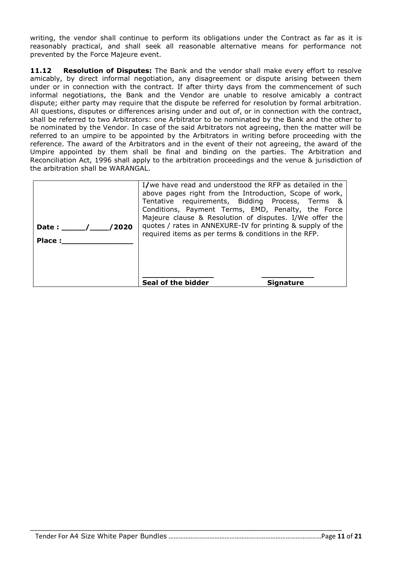writing, the vendor shall continue to perform its obligations under the Contract as far as it is reasonably practical, and shall seek all reasonable alternative means for performance not prevented by the Force Majeure event.

**11.12 Resolution of Disputes:** The Bank and the vendor shall make every effort to resolve amicably, by direct informal negotiation, any disagreement or dispute arising between them under or in connection with the contract. If after thirty days from the commencement of such informal negotiations, the Bank and the Vendor are unable to resolve amicably a contract dispute; either party may require that the dispute be referred for resolution by formal arbitration. All questions, disputes or differences arising under and out of, or in connection with the contract, shall be referred to two Arbitrators: one Arbitrator to be nominated by the Bank and the other to be nominated by the Vendor. In case of the said Arbitrators not agreeing, then the matter will be referred to an umpire to be appointed by the Arbitrators in writing before proceeding with the reference. The award of the Arbitrators and in the event of their not agreeing, the award of the Umpire appointed by them shall be final and binding on the parties. The Arbitration and Reconciliation Act, 1996 shall apply to the arbitration proceedings and the venue & jurisdiction of the arbitration shall be WARANGAL.

| /2020<br>Date :<br><b>Place:</b> | I/we have read and understood the RFP as detailed in the<br>above pages right from the Introduction, Scope of work,<br>Tentative requirements, Bidding Process, Terms &<br>Conditions, Payment Terms, EMD, Penalty, the Force<br>Majeure clause & Resolution of disputes. I/We offer the<br>quotes / rates in ANNEXURE-IV for printing & supply of the<br>required items as per terms & conditions in the RFP. |
|----------------------------------|----------------------------------------------------------------------------------------------------------------------------------------------------------------------------------------------------------------------------------------------------------------------------------------------------------------------------------------------------------------------------------------------------------------|
|                                  | Seal of the bidder<br><b>Signature</b>                                                                                                                                                                                                                                                                                                                                                                         |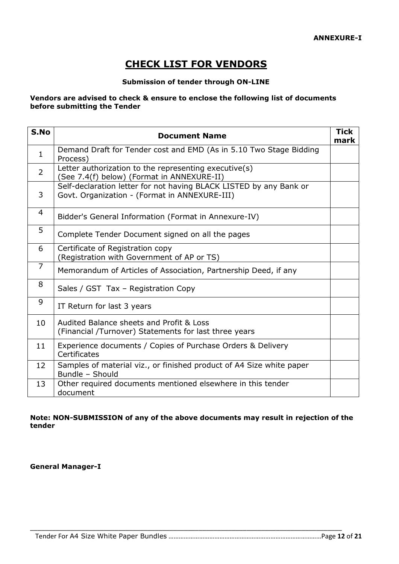# **CHECK LIST FOR VENDORS**

#### **Submission of tender through ON-LINE**

#### **Vendors are advised to check & ensure to enclose the following list of documents before submitting the Tender**

| S.No           | <b>Document Name</b>                                                                                                | <b>Tick</b><br>mark |
|----------------|---------------------------------------------------------------------------------------------------------------------|---------------------|
| $\mathbf{1}$   | Demand Draft for Tender cost and EMD (As in 5.10 Two Stage Bidding<br>Process)                                      |                     |
| $\overline{2}$ | Letter authorization to the representing executive(s)<br>(See 7.4(f) below) (Format in ANNEXURE-II)                 |                     |
| 3              | Self-declaration letter for not having BLACK LISTED by any Bank or<br>Govt. Organization - (Format in ANNEXURE-III) |                     |
| 4              | Bidder's General Information (Format in Annexure-IV)                                                                |                     |
| 5              | Complete Tender Document signed on all the pages                                                                    |                     |
| 6              | Certificate of Registration copy<br>(Registration with Government of AP or TS)                                      |                     |
| $\overline{7}$ | Memorandum of Articles of Association, Partnership Deed, if any                                                     |                     |
| 8              | Sales / GST Tax - Registration Copy                                                                                 |                     |
| 9              | IT Return for last 3 years                                                                                          |                     |
| 10             | Audited Balance sheets and Profit & Loss<br>(Financial /Turnover) Statements for last three years                   |                     |
| 11             | Experience documents / Copies of Purchase Orders & Delivery<br>Certificates                                         |                     |
| 12             | Samples of material viz., or finished product of A4 Size white paper<br>Bundle - Should                             |                     |
| 13             | Other required documents mentioned elsewhere in this tender<br>document                                             |                     |

#### **Note: NON-SUBMISSION of any of the above documents may result in rejection of the tender**

\_\_\_\_\_\_\_\_\_\_\_\_\_\_\_\_\_\_\_\_\_\_\_\_\_\_\_\_\_\_\_\_\_\_\_\_\_\_\_\_\_\_\_\_\_\_\_\_\_\_\_\_\_\_\_\_\_\_\_\_\_\_\_\_\_\_\_\_\_\_\_\_\_\_\_\_\_\_\_\_\_\_\_\_\_

**General Manager-I**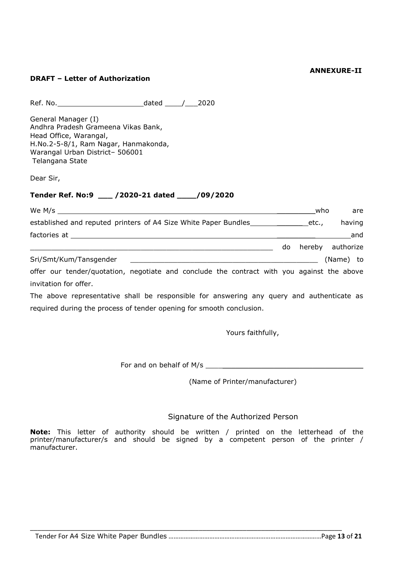#### **ANNEXURE-II**

#### **DRAFT – Letter of Authorization**

Ref. No. dated \_\_\_\_/\_\_\_2020

General Manager (I) Andhra Pradesh Grameena Vikas Bank, Head Office, Warangal, H.No.2-5-8/1, Ram Nagar, Hanmakonda, Warangal Urban District– 506001 Telangana State

Dear Sir,

## **Tender Ref. No:9 \_\_\_ /2020-21 dated \_\_\_\_/09/2020**

| We $M/s$                                                                                   |    | who   | are              |
|--------------------------------------------------------------------------------------------|----|-------|------------------|
| established and reputed printers of A4 Size White Paper Bundles                            |    | etc., | having           |
|                                                                                            |    |       | and              |
|                                                                                            | do |       | hereby authorize |
| Sri/Smt/Kum/Tansgender                                                                     |    |       | (Name) to        |
| offer our tender/quotation, negotiate and conclude the contract with you against the above |    |       |                  |

invitation for offer. The above representative shall be responsible for answering any query and authenticate as

required during the process of tender opening for smooth conclusion.

Yours faithfully,

For and on behalf of M/s \_\_\_\_\_\_\_\_\_\_\_\_\_\_\_\_\_\_\_\_\_\_\_\_\_\_\_\_\_\_\_\_\_\_\_\_\_

(Name of Printer/manufacturer)

#### Signature of the Authorized Person

**Note:** This letter of authority should be written / printed on the letterhead of the printer/manufacturer/s and should be signed by a competent person of the printer / manufacturer.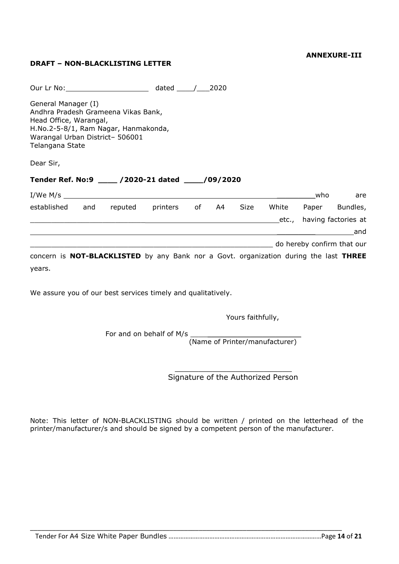#### **ANNEXURE-III**

## **DRAFT – NON-BLACKLISTING LETTER**

|                                                                                                                                                                                    |                        | - 2020 |                           |                            |     |
|------------------------------------------------------------------------------------------------------------------------------------------------------------------------------------|------------------------|--------|---------------------------|----------------------------|-----|
| General Manager (I)<br>Andhra Pradesh Grameena Vikas Bank,<br>Head Office, Warangal,<br>H.No.2-5-8/1, Ram Nagar, Hanmakonda,<br>Warangal Urban District- 506001<br>Telangana State |                        |        |                           |                            |     |
| Dear Sir,                                                                                                                                                                          |                        |        |                           |                            |     |
| Tender Ref. No:9 _____ /2020-21 dated _____/09/2020                                                                                                                                |                        |        |                           |                            |     |
| $I/We$ $M/s$ $\qquad \qquad$                                                                                                                                                       |                        |        |                           | who                        | are |
| established and                                                                                                                                                                    | reputed printers of A4 |        | Size White Paper Bundles, |                            |     |
|                                                                                                                                                                                    |                        |        | etc., having factories at |                            |     |
|                                                                                                                                                                                    |                        |        |                           |                            |     |
|                                                                                                                                                                                    |                        |        |                           |                            | and |
|                                                                                                                                                                                    |                        |        |                           | do hereby confirm that our |     |

We assure you of our best services timely and qualitatively.

Yours faithfully,

For and on behalf of M/s

(Name of Printer/manufacturer)

 $\mathcal{L}_\mathcal{L}$  , where  $\mathcal{L}_\mathcal{L}$  is the set of the set of the set of the set of the set of the set of the set of the set of the set of the set of the set of the set of the set of the set of the set of the set of the Signature of the Authorized Person

Note: This letter of NON-BLACKLISTING should be written / printed on the letterhead of the printer/manufacturer/s and should be signed by a competent person of the manufacturer.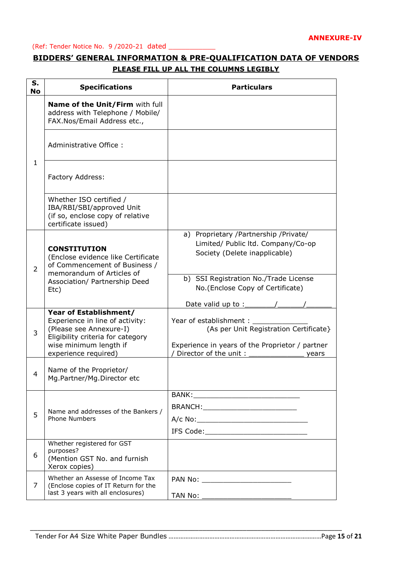#### (Ref: Tender Notice No. 9 /2020-21 dated \_\_\_\_\_\_\_\_\_\_\_

## **BIDDERS' GENERAL INFORMATION & PRE-QUALIFICATION DATA OF VENDORS PLEASE FILL UP ALL THE COLUMNS LEGIBLY**

| S.<br><b>No</b> | <b>Specifications</b>                                                                                                                               | <b>Particulars</b>                                                                                                    |
|-----------------|-----------------------------------------------------------------------------------------------------------------------------------------------------|-----------------------------------------------------------------------------------------------------------------------|
|                 | Name of the Unit/Firm with full<br>address with Telephone / Mobile/<br>FAX.Nos/Email Address etc.,                                                  |                                                                                                                       |
|                 | Administrative Office:                                                                                                                              |                                                                                                                       |
| $\mathbf{1}$    | Factory Address:                                                                                                                                    |                                                                                                                       |
|                 | Whether ISO certified /<br>IBA/RBI/SBI/approved Unit<br>(if so, enclose copy of relative<br>certificate issued)                                     |                                                                                                                       |
| $\overline{2}$  | <b>CONSTITUTION</b><br>(Enclose evidence like Certificate<br>of Commencement of Business /<br>memorandum of Articles of                             | a) Proprietary /Partnership /Private/<br>Limited/ Public ltd. Company/Co-op<br>Society (Delete inapplicable)          |
|                 | Association/ Partnership Deed<br>Etc)                                                                                                               | b) SSI Registration No./Trade License<br>No.(Enclose Copy of Certificate)<br>Date valid up to :_                      |
| 3               | Year of Establishment/<br>Experience in line of activity:<br>(Please see Annexure-I)<br>Eligibility criteria for category<br>wise minimum length if | Year of establishment: _<br>(As per Unit Registration Certificate}<br>Experience in years of the Proprietor / partner |
| 4               | experience required)<br>Name of the Proprietor/<br>Mg.Partner/Mg.Director etc                                                                       | Director of the unit:<br>years                                                                                        |
| 5               | Name and addresses of the Bankers /<br><b>Phone Numbers</b>                                                                                         | BRANCH:______________________________                                                                                 |
|                 |                                                                                                                                                     |                                                                                                                       |
| 6               | Whether registered for GST<br>purposes?<br>(Mention GST No. and furnish<br>Xerox copies)                                                            |                                                                                                                       |
| 7               | Whether an Assesse of Income Tax<br>(Enclose copies of IT Return for the<br>last 3 years with all enclosures)                                       | PAN No: ___________________________                                                                                   |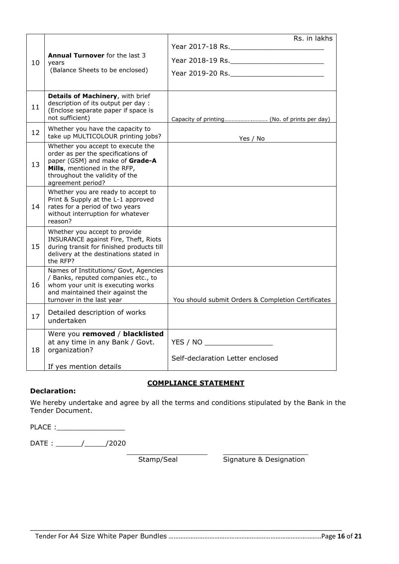|    |                                                                                                                                                                                                   | Rs. in lakhs                                       |
|----|---------------------------------------------------------------------------------------------------------------------------------------------------------------------------------------------------|----------------------------------------------------|
|    |                                                                                                                                                                                                   |                                                    |
| 10 | <b>Annual Turnover</b> for the last 3<br>years                                                                                                                                                    |                                                    |
|    | (Balance Sheets to be enclosed)                                                                                                                                                                   |                                                    |
|    |                                                                                                                                                                                                   |                                                    |
| 11 | Details of Machinery, with brief<br>description of its output per day :<br>(Enclose separate paper if space is<br>not sufficient)                                                                 |                                                    |
| 12 | Whether you have the capacity to<br>take up MULTICOLOUR printing jobs?                                                                                                                            | Yes / No                                           |
| 13 | Whether you accept to execute the<br>order as per the specifications of<br>paper (GSM) and make of Grade-A<br>Mills, mentioned in the RFP,<br>throughout the validity of the<br>agreement period? |                                                    |
| 14 | Whether you are ready to accept to<br>Print & Supply at the L-1 approved<br>rates for a period of two years<br>without interruption for whatever<br>reason?                                       |                                                    |
| 15 | Whether you accept to provide<br>INSURANCE against Fire, Theft, Riots<br>during transit for finished products till<br>delivery at the destinations stated in<br>the RFP?                          |                                                    |
| 16 | Names of Institutions/ Govt, Agencies<br>/ Banks, reputed companies etc., to<br>whom your unit is executing works<br>and maintained their against the<br>turnover in the last year                | You should submit Orders & Completion Certificates |
| 17 | Detailed description of works<br>undertaken                                                                                                                                                       |                                                    |
| 18 | Were you removed / blacklisted<br>at any time in any Bank / Govt.<br>organization?                                                                                                                | YES / NO                                           |
|    | If yes mention details                                                                                                                                                                            | Self-declaration Letter enclosed                   |

#### **COMPLIANCE STATEMENT**

\_\_\_\_\_\_\_\_\_\_\_\_\_\_\_\_\_\_\_ \_\_\_\_\_\_\_\_\_\_\_\_\_\_\_\_\_\_\_\_

#### **Declaration:**

We hereby undertake and agree by all the terms and conditions stipulated by the Bank in the Tender Document.

PLACE :\_\_\_\_\_\_\_\_\_\_\_\_\_\_\_\_

DATE : \_\_\_\_\_\_/\_\_\_\_\_/2020

Stamp/Seal Signature & Designation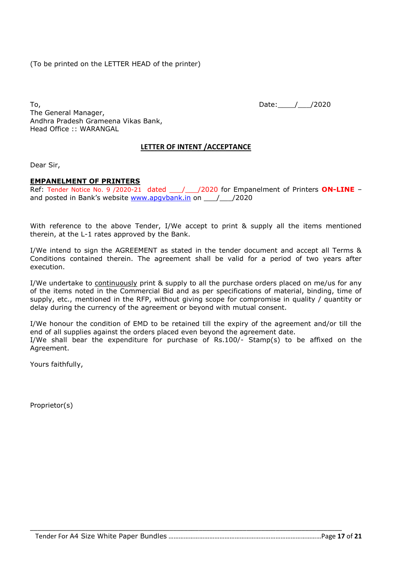(To be printed on the LETTER HEAD of the printer)

To, 2020 The General Manager, Andhra Pradesh Grameena Vikas Bank, Head Office :: WARANGAL

**LETTER OF INTENT /ACCEPTANCE**

Dear Sir,

#### **EMPANELMENT OF PRINTERS**

Ref: Tender Notice No. 9 /2020-21 dated / / /2020 for Empanelment of Printers **ON-LINE** – and posted in Bank's website www.apgybank.in on  $\frac{1}{2020}$ 

With reference to the above Tender, I/We accept to print & supply all the items mentioned therein, at the L-1 rates approved by the Bank.

I/We intend to sign the AGREEMENT as stated in the tender document and accept all Terms & Conditions contained therein. The agreement shall be valid for a period of two years after execution.

I/We undertake to continuously print & supply to all the purchase orders placed on me/us for any of the items noted in the Commercial Bid and as per specifications of material, binding, time of supply, etc., mentioned in the RFP, without giving scope for compromise in quality / quantity or delay during the currency of the agreement or beyond with mutual consent.

I/We honour the condition of EMD to be retained till the expiry of the agreement and/or till the end of all supplies against the orders placed even beyond the agreement date. I/We shall bear the expenditure for purchase of Rs.100/- Stamp(s) to be affixed on the Agreement.

\_\_\_\_\_\_\_\_\_\_\_\_\_\_\_\_\_\_\_\_\_\_\_\_\_\_\_\_\_\_\_\_\_\_\_\_\_\_\_\_\_\_\_\_\_\_\_\_\_\_\_\_\_\_\_\_\_\_\_\_\_\_\_\_\_\_\_\_\_\_\_\_\_\_\_\_\_\_\_\_\_\_\_\_\_

Yours faithfully,

Proprietor(s)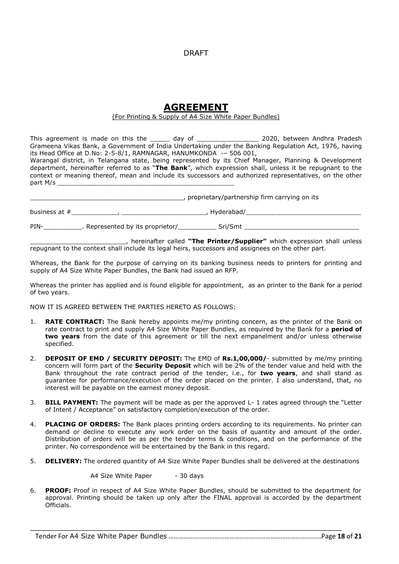#### DRAFT

## **AGREEMENT**

#### (For Printing & Supply of A4 Size White Paper Bundles)

This agreement is made on this the \_\_\_\_\_ day of \_\_\_\_\_\_\_\_\_\_\_\_\_\_\_\_\_\_ 2020, between Andhra Pradesh Grameena Vikas Bank, a Government of India Undertaking under the Banking Regulation Act, 1976, having its Head Office at D.No: 2-5-8/1, RAMNAGAR, HANUMKONDA -– 506 001, Warangal district, in Telangana state, being represented by its Chief Manager, Planning & Development department, hereinafter referred to as "**The Bank**", which expression shall, unless it be repugnant to the context or meaning thereof, mean and include its successors and authorized representatives, on the other

\_\_\_\_\_\_\_\_\_\_\_\_\_\_\_\_\_\_\_\_\_\_\_\_\_\_\_\_\_\_\_\_\_\_\_\_\_\_\_\_, proprietary/partnership firm carrying on its business at #\_\_\_\_\_\_\_\_\_\_\_\_, \_\_\_\_\_\_\_\_\_\_\_\_\_\_\_\_\_\_\_\_\_\_, Hyderabad/\_\_\_\_\_\_\_\_\_\_\_\_\_\_\_\_\_\_\_\_\_\_\_\_\_\_\_\_\_\_ PIN-<br>
PINRepresented by its proprietor/
Sri/Smt

\_\_\_\_\_\_\_\_\_\_\_\_\_\_\_\_\_\_\_\_\_\_\_\_\_, hereinafter called **"The Printer/Supplier"** which expression shall unless repugnant to the context shall include its legal heirs, successors and assignees on the other part.

Whereas, the Bank for the purpose of carrying on its banking business needs to printers for printing and supply of A4 Size White Paper Bundles, the Bank had issued an RFP.

Whereas the printer has applied and is found eligible for appointment, as an printer to the Bank for a period of two years.

NOW IT IS AGREED BETWEEN THE PARTIES HERETO AS FOLLOWS:

part M/s

- 1. **RATE CONTRACT:** The Bank hereby appoints me/my printing concern, as the printer of the Bank on rate contract to print and supply A4 Size White Paper Bundles, as required by the Bank for a **period of two years** from the date of this agreement or till the next empanelment and/or unless otherwise specified.
- 2. **DEPOSIT OF EMD / SECURITY DEPOSIT:** The EMD of **Rs.1,00,000/** submitted by me/my printing concern will form part of the **Security Deposit** which will be 2% of the tender value and held with the Bank throughout the rate contract period of the tender, i.e., for **two years**, and shall stand as guarantee for performance/execution of the order placed on the printer. I also understand, that, no interest will be payable on the earnest money deposit.
- 3. **BILL PAYMENT:** The payment will be made as per the approved L- 1 rates agreed through the "Letter of Intent / Acceptance" on satisfactory completion/execution of the order.
- 4. **PLACING OF ORDERS:** The Bank places printing orders according to its requirements. No printer can demand or decline to execute any work order on the basis of quantity and amount of the order. Distribution of orders will be as per the tender terms & conditions, and on the performance of the printer. No correspondence will be entertained by the Bank in this regard.
- 5. **DELIVERY:** The ordered quantity of A4 Size White Paper Bundles shall be delivered at the destinations

A4 Size White Paper - 30 days

6. **PROOF:** Proof in respect of A4 Size White Paper Bundles, should be submitted to the department for approval. Printing should be taken up only after the FINAL approval is accorded by the department Officials.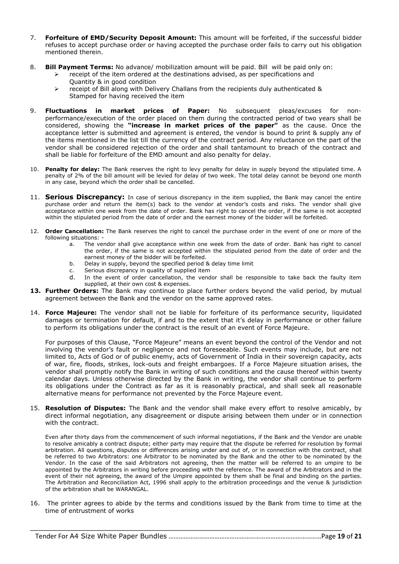- 7. **Forfeiture of EMD/Security Deposit Amount:** This amount will be forfeited, if the successful bidder refuses to accept purchase order or having accepted the purchase order fails to carry out his obligation mentioned therein.
- 8. **Bill Payment Terms:** No advance/ mobilization amount will be paid. Bill will be paid only on:
	- receipt of the item ordered at the destinations advised, as per specifications and Quantity & in good condition
	- $\triangleright$  receipt of Bill along with Delivery Challans from the recipients duly authenticated & Stamped for having received the item
- 9. **Fluctuations in market prices of Paper:** No subsequent pleas/excuses for nonperformance/execution of the order placed on them during the contracted period of two years shall be considered, showing the **"increase in market prices of the paper"** as the cause. Once the acceptance letter is submitted and agreement is entered, the vendor is bound to print & supply any of the items mentioned in the list till the currency of the contract period. Any reluctance on the part of the vendor shall be considered rejection of the order and shall tantamount to breach of the contract and shall be liable for forfeiture of the EMD amount and also penalty for delay.
- 10. **Penalty for delay:** The Bank reserves the right to levy penalty for delay in supply beyond the stipulated time. A penalty of 2% of the bill amount will be levied for delay of two week. The total delay cannot be beyond one month in any case, beyond which the order shall be cancelled.
- 11. **Serious Discrepancy:** In case of serious discrepancy in the item supplied, the Bank may cancel the entire purchase order and return the item(s) back to the vendor at vendor's costs and risks. The vendor shall give acceptance within one week from the date of order. Bank has right to cancel the order, if the same is not accepted within the stipulated period from the date of order and the earnest money of the bidder will be forfeited.
- 12. **Order Cancellation:** The Bank reserves the right to cancel the purchase order in the event of one or more of the following situations:
	- a. The vendor shall give acceptance within one week from the date of order. Bank has right to cancel the order, if the same is not accepted within the stipulated period from the date of order and the earnest money of the bidder will be forfeited.
	- b. Delay in supply, beyond the specified period & delay time limit
	- c. Serious discrepancy in quality of supplied item
	- d. In the event of order cancellation, the vendor shall be responsible to take back the faulty item supplied, at their own cost & expenses.
- **13. Further Orders:** The Bank may continue to place further orders beyond the valid period, by mutual agreement between the Bank and the vendor on the same approved rates.
- 14. **Force Majeure:** The vendor shall not be liable for forfeiture of its performance security, liquidated damages or termination for default, if and to the extent that it's delay in performance or other failure to perform its obligations under the contract is the result of an event of Force Majeure.

For purposes of this Clause, "Force Majeure" means an event beyond the control of the Vendor and not involving the vendor's fault or negligence and not foreseeable. Such events may include, but are not limited to, Acts of God or of public enemy, acts of Government of India in their sovereign capacity, acts of war, fire, floods, strikes, lock-outs and freight embargoes. If a Force Majeure situation arises, the vendor shall promptly notify the Bank in writing of such conditions and the cause thereof within twenty calendar days. Unless otherwise directed by the Bank in writing, the vendor shall continue to perform its obligations under the Contract as far as it is reasonably practical, and shall seek all reasonable alternative means for performance not prevented by the Force Majeure event.

15. **Resolution of Disputes:** The Bank and the vendor shall make every effort to resolve amicably, by direct informal negotiation, any disagreement or dispute arising between them under or in connection with the contract.

Even after thirty days from the commencement of such informal negotiations, if the Bank and the Vendor are unable to resolve amicably a contract dispute; either party may require that the dispute be referred for resolution by formal arbitration. All questions, disputes or differences arising under and out of, or in connection with the contract, shall be referred to two Arbitrators: one Arbitrator to be nominated by the Bank and the other to be nominated by the Vendor. In the case of the said Arbitrators not agreeing, then the matter will be referred to an umpire to be appointed by the Arbitrators in writing before proceeding with the reference. The award of the Arbitrators and in the event of their not agreeing, the award of the Umpire appointed by them shall be final and binding on the parties. The Arbitration and Reconciliation Act, 1996 shall apply to the arbitration proceedings and the venue & jurisdiction of the arbitration shall be WARANGAL.

16. The printer agrees to abide by the terms and conditions issued by the Bank from time to time at the time of entrustment of works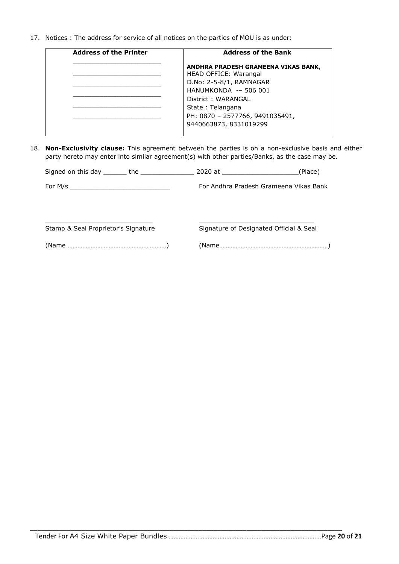17. Notices : The address for service of all notices on the parties of MOU is as under:

| <b>Address of the Printer</b> | <b>Address of the Bank</b>                                   |
|-------------------------------|--------------------------------------------------------------|
|                               | ANDHRA PRADESH GRAMEENA VIKAS BANK,<br>HEAD OFFICE: Warangal |
|                               | D.No: 2-5-8/1, RAMNAGAR                                      |
|                               | HANUMKONDA -- 506 001                                        |
|                               | District: WARANGAL                                           |
|                               | State: Telangana                                             |
|                               | PH: 0870 - 2577766, 9491035491,                              |
|                               | 9440663873, 8331019299                                       |

18. **Non-Exclusivity clause:** This agreement between the parties is on a non-exclusive basis and either party hereto may enter into similar agreement(s) with other parties/Banks, as the case may be.

|                                     | For Andhra Pradesh Grameena Vikas Bank  |  |
|-------------------------------------|-----------------------------------------|--|
|                                     |                                         |  |
| Stamp & Seal Proprietor's Signature | Signature of Designated Official & Seal |  |